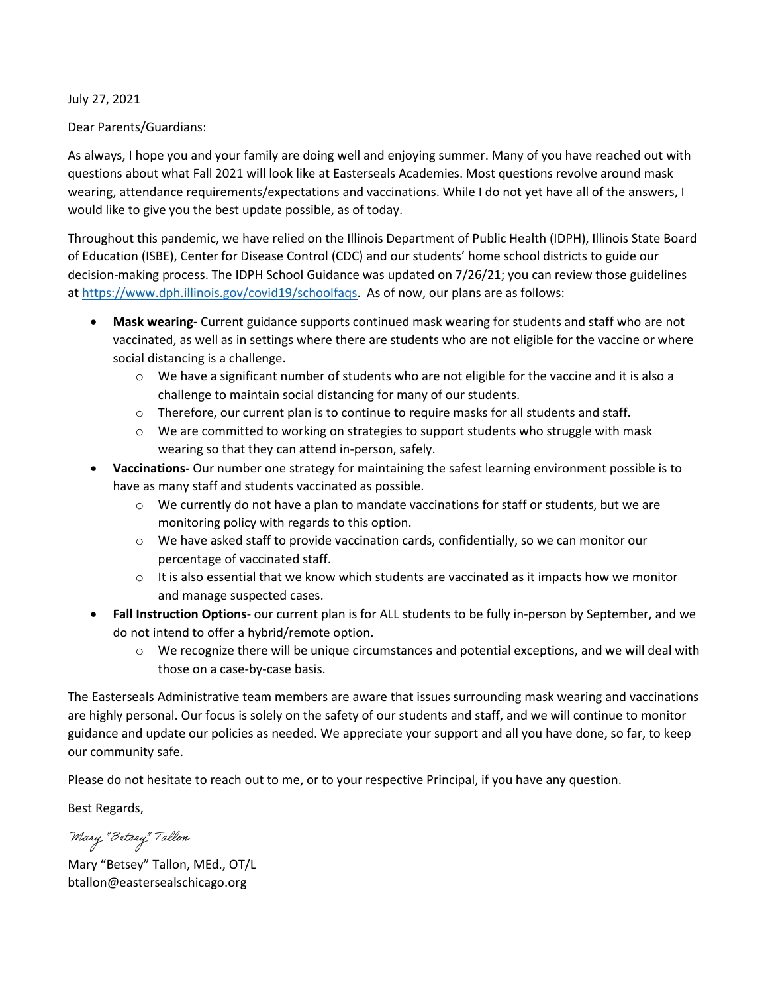July 27, 2021

Dear Parents/Guardians:

As always, I hope you and your family are doing well and enjoying summer. Many of you have reached out with questions about what Fall 2021 will look like at Easterseals Academies. Most questions revolve around mask wearing, attendance requirements/expectations and vaccinations. While I do not yet have all of the answers, I would like to give you the best update possible, as of today.

Throughout this pandemic, we have relied on the Illinois Department of Public Health (IDPH), Illinois State Board of Education (ISBE), Center for Disease Control (CDC) and our students' home school districts to guide our decision-making process. The IDPH School Guidance was updated on 7/26/21; you can review those guidelines at [https://www.dph.illinois.gov/covid19/schoolfaqs.](https://www.dph.illinois.gov/covid19/schoolfaqs) As of now, our plans are as follows:

- **Mask wearing-** Current guidance supports continued mask wearing for students and staff who are not vaccinated, as well as in settings where there are students who are not eligible for the vaccine or where social distancing is a challenge.
	- $\circ$  We have a significant number of students who are not eligible for the vaccine and it is also a challenge to maintain social distancing for many of our students.
	- $\circ$  Therefore, our current plan is to continue to require masks for all students and staff.
	- $\circ$  We are committed to working on strategies to support students who struggle with mask wearing so that they can attend in-person, safely.
- **Vaccinations-** Our number one strategy for maintaining the safest learning environment possible is to have as many staff and students vaccinated as possible.
	- $\circ$  We currently do not have a plan to mandate vaccinations for staff or students, but we are monitoring policy with regards to this option.
	- $\circ$  We have asked staff to provide vaccination cards, confidentially, so we can monitor our percentage of vaccinated staff.
	- $\circ$  It is also essential that we know which students are vaccinated as it impacts how we monitor and manage suspected cases.
- **Fall Instruction Options** our current plan is for ALL students to be fully in-person by September, and we do not intend to offer a hybrid/remote option.
	- $\circ$  We recognize there will be unique circumstances and potential exceptions, and we will deal with those on a case-by-case basis.

The Easterseals Administrative team members are aware that issues surrounding mask wearing and vaccinations are highly personal. Our focus is solely on the safety of our students and staff, and we will continue to monitor guidance and update our policies as needed. We appreciate your support and all you have done, so far, to keep our community safe.

Please do not hesitate to reach out to me, or to your respective Principal, if you have any question.

Best Regards,

Mary "Betsey" Tallon

Mary "Betsey" Tallon, MEd., OT/L btallon@eastersealschicago.org